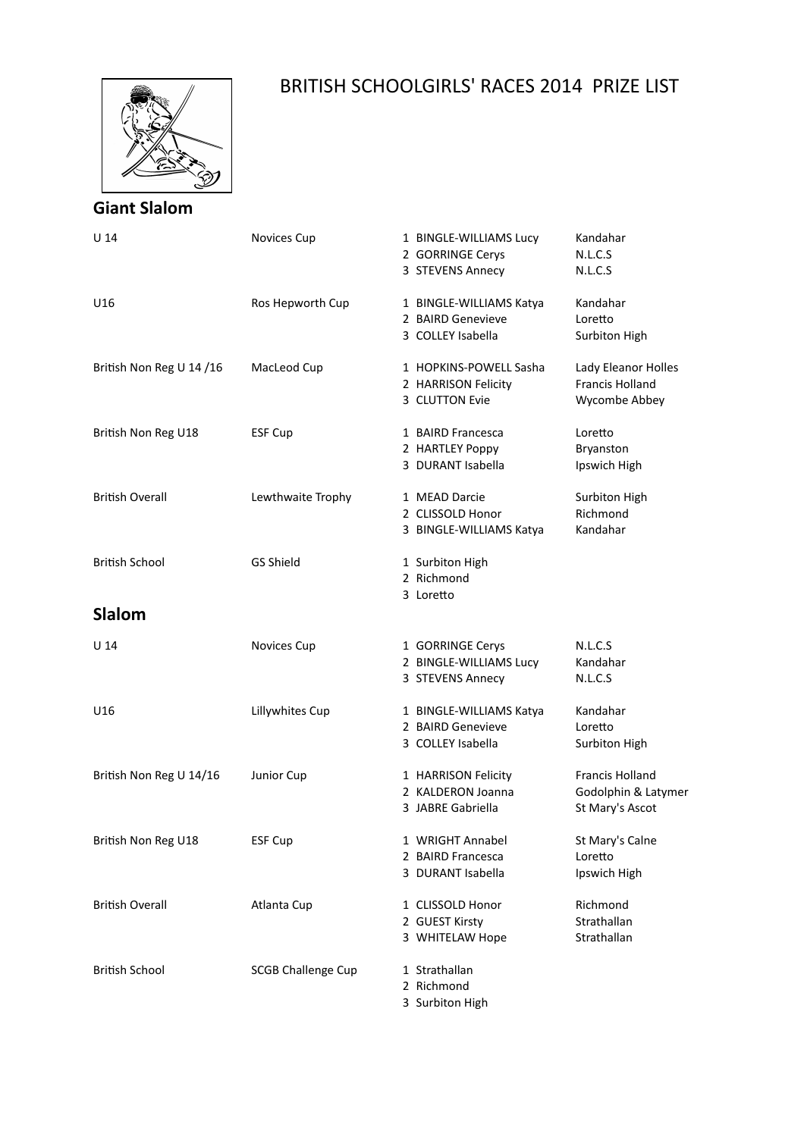

## BRITISH SCHOOLGIRLS' RACES 2014 PRIZE LIST

## **Giant Slalom**

| U 14                     | Novices Cup               | 1 BINGLE-WILLIAMS Lucy<br>2 GORRINGE Cerys<br>3 STEVENS Annecy    | Kandahar<br>N.L.C.S<br>N.L.C.S                                   |
|--------------------------|---------------------------|-------------------------------------------------------------------|------------------------------------------------------------------|
| U16                      | Ros Hepworth Cup          | 1 BINGLE-WILLIAMS Katya<br>2 BAIRD Genevieve<br>3 COLLEY Isabella | Kandahar<br>Loretto<br>Surbiton High                             |
| British Non Reg U 14 /16 | MacLeod Cup               | 1 HOPKINS-POWELL Sasha<br>2 HARRISON Felicity<br>3 CLUTTON Evie   | Lady Eleanor Holles<br><b>Francis Holland</b><br>Wycombe Abbey   |
| British Non Reg U18      | <b>ESF Cup</b>            | 1 BAIRD Francesca<br>2 HARTLEY Poppy<br>3 DURANT Isabella         | Loretto<br>Bryanston<br>Ipswich High                             |
| <b>British Overall</b>   | Lewthwaite Trophy         | 1 MEAD Darcie<br>2 CLISSOLD Honor<br>3 BINGLE-WILLIAMS Katya      | Surbiton High<br>Richmond<br>Kandahar                            |
| <b>British School</b>    | <b>GS Shield</b>          | 1 Surbiton High<br>2 Richmond<br>3 Loretto                        |                                                                  |
| Slalom                   |                           |                                                                   |                                                                  |
| U <sub>14</sub>          | Novices Cup               | 1 GORRINGE Cerys<br>2 BINGLE-WILLIAMS Lucy<br>3 STEVENS Annecy    | N.L.C.S<br>Kandahar<br>N.L.C.S                                   |
| U16                      | Lillywhites Cup           | 1 BINGLE-WILLIAMS Katya<br>2 BAIRD Genevieve<br>3 COLLEY Isabella | Kandahar<br>Loretto<br>Surbiton High                             |
| British Non Reg U 14/16  | Junior Cup                | 1 HARRISON Felicity<br>2 KALDERON Joanna<br>3 JABRE Gabriella     | <b>Francis Holland</b><br>Godolphin & Latymer<br>St Mary's Ascot |
| British Non Reg U18      | <b>ESF Cup</b>            | 1 WRIGHT Annabel<br>2 BAIRD Francesca<br>3 DURANT Isabella        | St Mary's Calne<br>Loretto<br>Ipswich High                       |
| <b>British Overall</b>   | Atlanta Cup               | 1 CLISSOLD Honor<br>2 GUEST Kirsty<br>3 WHITELAW Hope             | Richmond<br>Strathallan<br>Strathallan                           |
| <b>British School</b>    | <b>SCGB Challenge Cup</b> | 1 Strathallan<br>2 Richmond<br>3 Surbiton High                    |                                                                  |